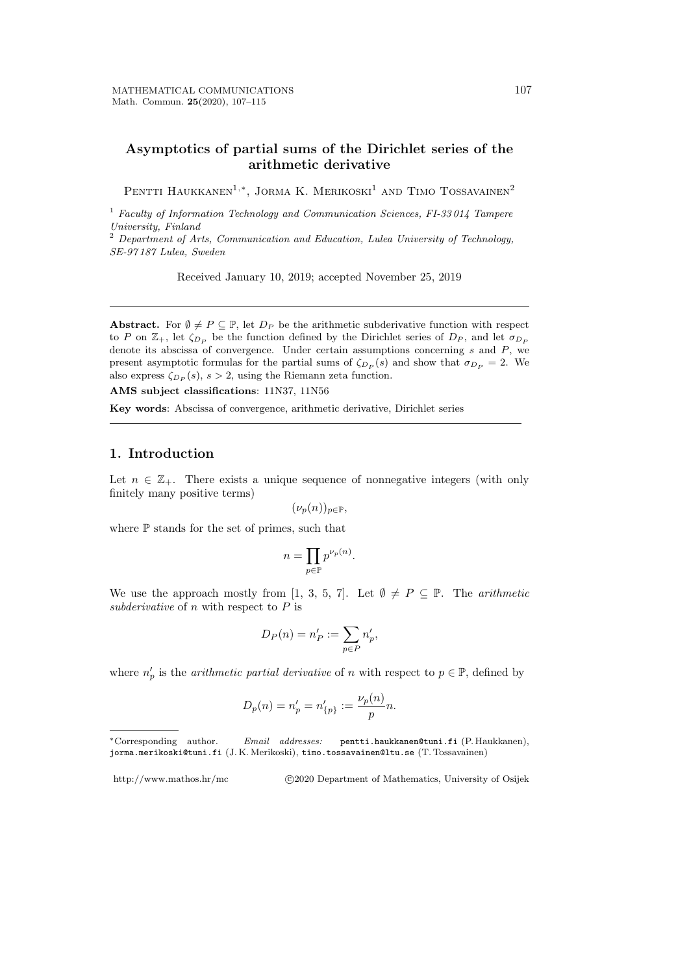### **Asymptotics of partial sums of the Dirichlet series of the arithmetic derivative**

Pentti Haukkanen<sup>1,</sup><sup>\*</sup>, Jorma K. Merikoski<sup>1</sup> and Timo Tossavainen<sup>2</sup>

<sup>1</sup> *Faculty of Information Technology and Communication Sciences, FI-33 014 Tampere University, Finland*

<sup>2</sup> *Department of Arts, Communication and Education, Lulea University of Technology, SE-97 187 Lulea, Sweden*

Received January 10, 2019; accepted November 25, 2019

**Abstract.** For  $\emptyset \neq P \subseteq \mathbb{P}$ , let  $D_P$  be the arithmetic subderivative function with respect to *P* on  $\mathbb{Z}_+$ , let  $\zeta_{D_P}$  be the function defined by the Dirichlet series of  $D_P$ , and let  $\sigma_{D_P}$ denote its abscissa of convergence. Under certain assumptions concerning *s* and *P*, we present asymptotic formulas for the partial sums of  $\zeta_{D_P}(s)$  and show that  $\sigma_{D_P} = 2$ . We also express  $\zeta_{D_P}(s)$ ,  $s > 2$ , using the Riemann zeta function.

**AMS subject classifications**: 11N37, 11N56

**Key words**: Abscissa of convergence, arithmetic derivative, Dirichlet series

### **1. Introduction**

Let  $n \in \mathbb{Z}_+$ . There exists a unique sequence of nonnegative integers (with only finitely many positive terms)

$$
(\nu_p(n))_{p \in \mathbb{P}},
$$

where P stands for the set of primes, such that

$$
n = \prod_{p \in \mathbb{P}} p^{\nu_p(n)}.
$$

We use the approach mostly from [1, 3, 5, 7]. Let  $\emptyset \neq P \subseteq \mathbb{P}$ . The *arithmetic subderivative* of *n* with respect to *P* is

$$
D_P(n) = n'_P := \sum_{p \in P} n'_p,
$$

where  $n'_p$  is the *arithmetic partial derivative* of *n* with respect to  $p \in \mathbb{P}$ , defined by

$$
D_p(n) = n'_p = n'_{\{p\}} := \frac{\nu_p(n)}{p}n.
$$

http://www.mathos.hr/mc *<i>*  $\odot$ 2020 Department of Mathematics, University of Osijek

*<sup>∗</sup>*Corresponding author. *Email addresses:* pentti.haukkanen@tuni.fi (P. Haukkanen), jorma.merikoski@tuni.fi (J. K. Merikoski), timo.tossavainen@ltu.se (T. Tossavainen)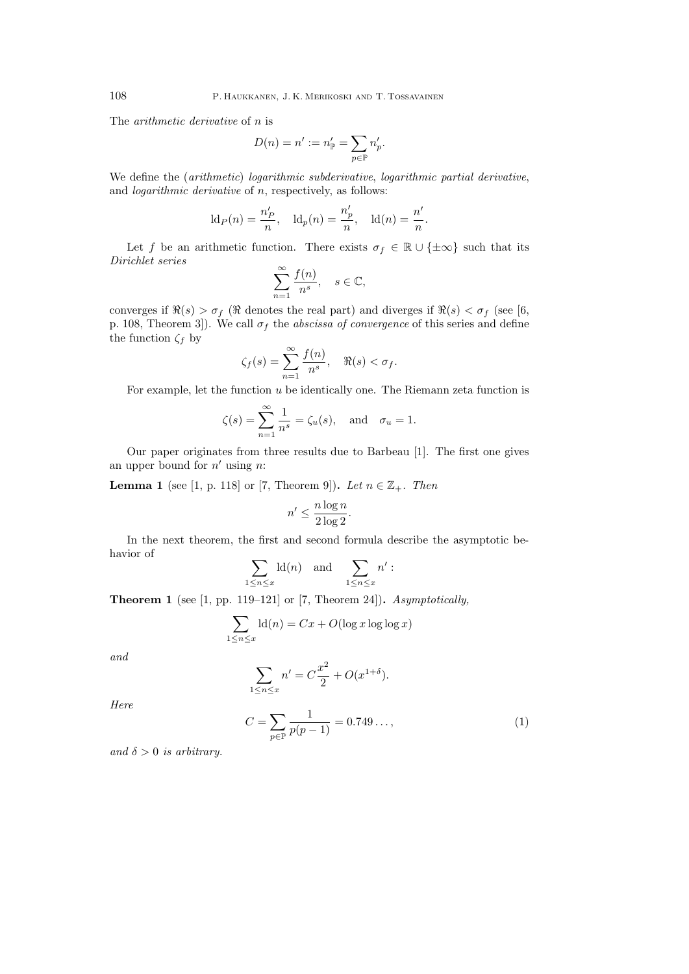The *arithmetic derivative* of *n* is

$$
D(n) = n' := n'_{\mathbb{P}} = \sum_{p \in \mathbb{P}} n'_p.
$$

We define the (*arithmetic*) *logarithmic subderivative*, *logarithmic partial derivative*, and *logarithmic derivative* of *n*, respectively, as follows:

$$
\mathrm{ld}_P(n) = \frac{n'_P}{n}, \quad \mathrm{ld}_p(n) = \frac{n'_p}{n}, \quad \mathrm{ld}(n) = \frac{n'}{n}.
$$

Let *f* be an arithmetic function. There exists  $\sigma_f \in \mathbb{R} \cup \{\pm \infty\}$  such that its *Dirichlet series*

$$
\sum_{n=1}^{\infty} \frac{f(n)}{n^s}, \quad s \in \mathbb{C},
$$

converges if  $\Re(s) > \sigma_f$  ( $\Re$  denotes the real part) and diverges if  $\Re(s) < \sigma_f$  (see [6, p. 108, Theorem 3. We call  $\sigma_f$  the *abscissa of convergence* of this series and define the function  $\zeta_f$  by

$$
\zeta_f(s) = \sum_{n=1}^{\infty} \frac{f(n)}{n^s}, \quad \Re(s) < \sigma_f.
$$

For example, let the function *u* be identically one. The Riemann zeta function is

$$
\zeta(s) = \sum_{n=1}^{\infty} \frac{1}{n^s} = \zeta_u(s)
$$
, and  $\sigma_u = 1$ .

Our paper originates from three results due to Barbeau [1]. The first one gives an upper bound for *n ′* using *n*:

**Lemma 1** (see [1, p. 118] or [7, Theorem 9]). Let  $n \in \mathbb{Z}_+$ . Then

$$
n' \le \frac{n \log n}{2 \log 2}.
$$

In the next theorem, the first and second formula describe the asymptotic behavior of

$$
\sum_{1 \leq n \leq x} \operatorname{ld}(n) \quad \text{and} \quad \sum_{1 \leq n \leq x} n' :
$$

**Theorem 1** (see [1, pp. 119–121] or [7, Theorem 24])**.** *Asymptotically,*

$$
\sum_{1 \le n \le x} \text{ld}(n) = Cx + O(\log x \log \log x)
$$

*and*

$$
\sum_{1 \le n \le x} n' = C \frac{x^2}{2} + O(x^{1+\delta}).
$$

*Here*

$$
C = \sum_{p \in \mathbb{P}} \frac{1}{p(p-1)} = 0.749\dots,\tag{1}
$$

*and*  $\delta > 0$  *is arbitrary.*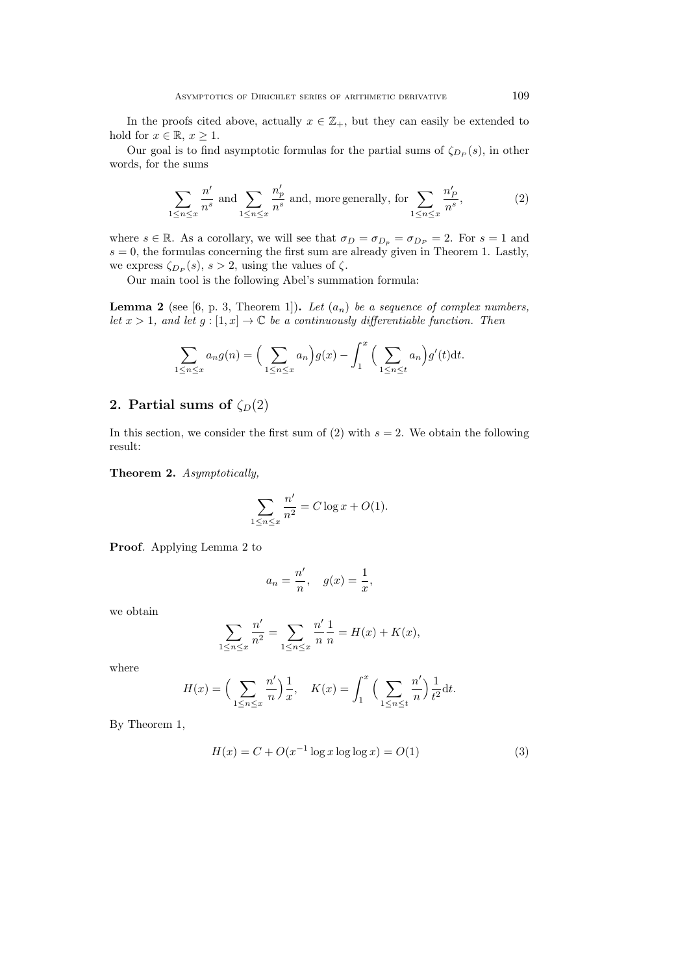In the proofs cited above, actually  $x \in \mathbb{Z}_+$ , but they can easily be extended to hold for  $x \in \mathbb{R}, x \geq 1$ .

Our goal is to find asymptotic formulas for the partial sums of  $\zeta_{D_P}(s)$ , in other words, for the sums

$$
\sum_{1 \le n \le x} \frac{n'}{n^s} \text{ and } \sum_{1 \le n \le x} \frac{n'_p}{n^s} \text{ and, more generally, for } \sum_{1 \le n \le x} \frac{n'_p}{n^s},\tag{2}
$$

where  $s \in \mathbb{R}$ . As a corollary, we will see that  $\sigma_D = \sigma_{D_p} = \sigma_{D_p} = 2$ . For  $s = 1$  and  $s = 0$ , the formulas concerning the first sum are already given in Theorem 1. Lastly, we express  $\zeta_{D_P}(s)$ ,  $s > 2$ , using the values of  $\zeta$ .

Our main tool is the following Abel's summation formula:

**Lemma 2** (see [6, p. 3, Theorem 1]). Let  $(a_n)$  be a sequence of complex numbers, *let*  $x > 1$ , and let  $g : [1, x] \to \mathbb{C}$  be a continuously differentiable function. Then

$$
\sum_{1 \le n \le x} a_n g(n) = \left(\sum_{1 \le n \le x} a_n\right) g(x) - \int_1^x \left(\sum_{1 \le n \le t} a_n\right) g'(t) \mathrm{d}t.
$$

### **2. Partial sums of**  $\zeta_D(2)$

In this section, we consider the first sum of  $(2)$  with  $s = 2$ . We obtain the following result:

**Theorem 2.** *Asymptotically,*

$$
\sum_{1 \le n \le x} \frac{n'}{n^2} = C \log x + O(1).
$$

**Proof***.* Applying Lemma 2 to

$$
a_n = \frac{n'}{n}, \quad g(x) = \frac{1}{x},
$$

*′*

we obtain

$$
\sum_{1 \le n \le x} \frac{n'}{n^2} = \sum_{1 \le n \le x} \frac{n'}{n} \frac{1}{n} = H(x) + K(x),
$$

where

$$
H(x) = \left(\sum_{1 \le n \le x} \frac{n'}{n}\right) \frac{1}{x}, \quad K(x) = \int_1^x \left(\sum_{1 \le n \le t} \frac{n'}{n}\right) \frac{1}{t^2} dt.
$$

By Theorem 1,

$$
H(x) = C + O(x^{-1} \log x \log \log x) = O(1)
$$
 (3)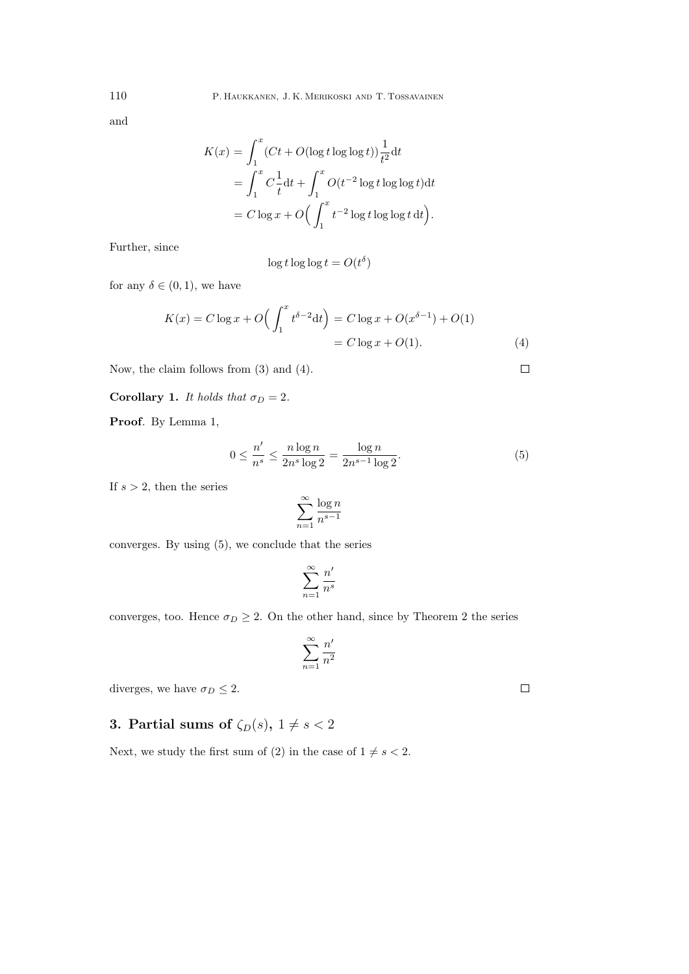and

$$
K(x) = \int_1^x (Ct + O(\log t \log \log t)) \frac{1}{t^2} dt
$$
  
= 
$$
\int_1^x C \frac{1}{t} dt + \int_1^x O(t^{-2} \log t \log \log t) dt
$$
  
= 
$$
C \log x + O\left(\int_1^x t^{-2} \log t \log \log t dt\right).
$$

Further, since

$$
\log t \log \log t = O(t^{\delta})
$$

for any  $\delta \in (0, 1)$ , we have

$$
K(x) = C \log x + O\left(\int_1^x t^{\delta - 2} dt\right) = C \log x + O(x^{\delta - 1}) + O(1)
$$
  
=  $C \log x + O(1)$ . (4)

Now, the claim follows from (3) and (4).

**Corollary 1.** *It holds that*  $\sigma_D = 2$ *.* 

**Proof***.* By Lemma 1,

$$
0 \le \frac{n'}{n^s} \le \frac{n \log n}{2n^s \log 2} = \frac{\log n}{2n^{s-1} \log 2}.
$$
 (5)

If *s >* 2, then the series

$$
\sum_{n=1}^{\infty} \frac{\log n}{n^{s-1}}
$$

converges. By using (5), we conclude that the series

$$
\sum_{n=1}^{\infty} \frac{n'}{n^s}
$$

converges, too. Hence  $\sigma_D \geq 2$ . On the other hand, since by Theorem 2 the series

$$
\sum_{n=1}^{\infty} \frac{n'}{n^2}
$$

diverges, we have  $\sigma_D \leq 2$ .

# **3. Partial sums of**  $\zeta_D(s)$ ,  $1 \neq s < 2$

Next, we study the first sum of (2) in the case of  $1 \neq s < 2$ .

 $\Box$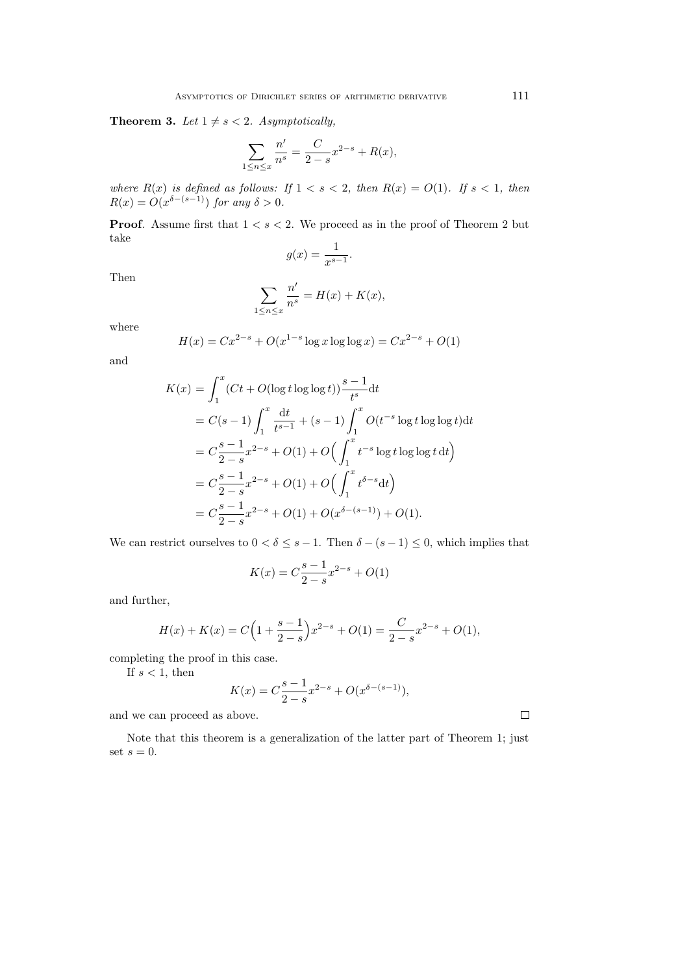**Theorem 3.** *Let*  $1 \neq s < 2$ *. Asymptotically,* 

$$
\sum_{1 \le n \le x} \frac{n'}{n^s} = \frac{C}{2-s} x^{2-s} + R(x),
$$

*where*  $R(x)$  *is defined as follows:* If  $1 < s < 2$ , then  $R(x) = O(1)$ . If  $s < 1$ , then  $R(x) = O(x^{\delta-(s-1)})$  *for any*  $\delta > 0$ *.* 

**Proof***.* Assume first that  $1 < s < 2$ *.* We proceed as in the proof of Theorem 2 but take

$$
g(x) = \frac{1}{x^{s-1}}.
$$

Then

$$
\sum_{1 \le n \le x} \frac{n'}{n^s} = H(x) + K(x),
$$

where

$$
H(x) = Cx^{2-s} + O(x^{1-s} \log x \log \log x) = Cx^{2-s} + O(1)
$$

and

$$
K(x) = \int_{1}^{x} (Ct + O(\log t \log \log t)) \frac{s-1}{t^{s}} dt
$$
  
=  $C(s-1) \int_{1}^{x} \frac{dt}{t^{s-1}} + (s-1) \int_{1}^{x} O(t^{-s} \log t \log \log t) dt$   
=  $C \frac{s-1}{2-s} x^{2-s} + O(1) + O\left(\int_{1}^{x} t^{-s} \log t \log \log t dt\right)$   
=  $C \frac{s-1}{2-s} x^{2-s} + O(1) + O\left(\int_{1}^{x} t^{\delta-s} dt\right)$   
=  $C \frac{s-1}{2-s} x^{2-s} + O(1) + O(x^{\delta-(s-1)}) + O(1).$ 

We can restrict ourselves to  $0 < \delta \leq s - 1$ . Then  $\delta - (s - 1) \leq 0$ , which implies that

$$
K(x) = C\frac{s-1}{2-s}x^{2-s} + O(1)
$$

and further,

$$
H(x) + K(x) = C\left(1 + \frac{s-1}{2-s}\right)x^{2-s} + O(1) = \frac{C}{2-s}x^{2-s} + O(1),
$$

completing the proof in this case.

If  $s < 1$ , then

$$
K(x) = C\frac{s-1}{2-s}x^{2-s} + O(x^{\delta - (s-1)}),
$$

and we can proceed as above.

Note that this theorem is a generalization of the latter part of Theorem 1; just set  $s = 0$ .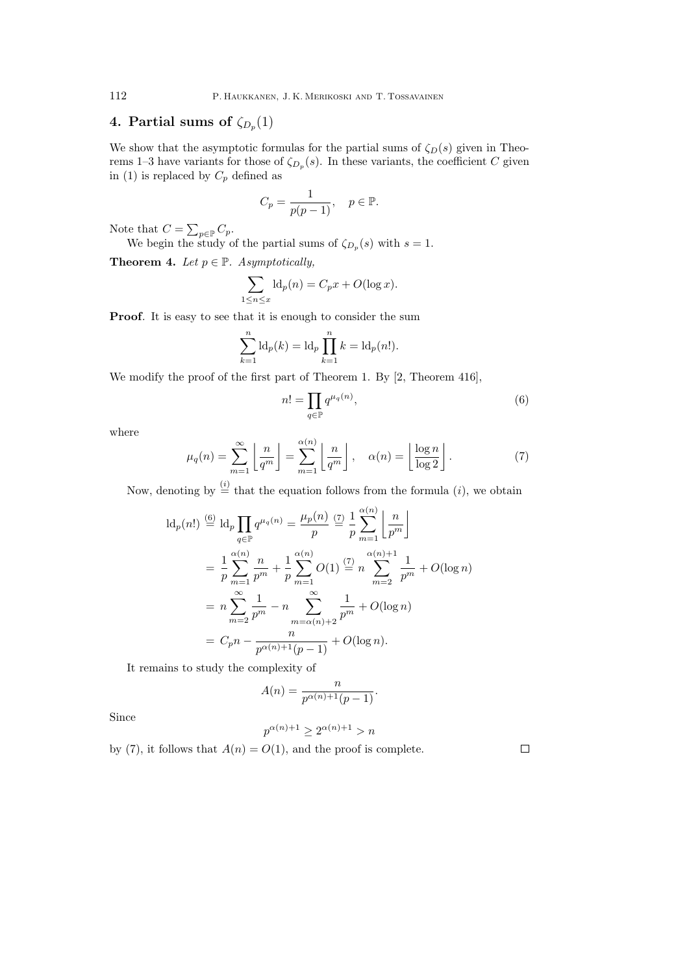### **4. Partial sums of**  $\zeta_{D_p}(1)$

We show that the asymptotic formulas for the partial sums of  $\zeta_D(s)$  given in Theorems 1–3 have variants for those of  $\zeta_{D_p}(s)$ . In these variants, the coefficient *C* given in (1) is replaced by  $C_p$  defined as

$$
C_p = \frac{1}{p(p-1)}, \quad p \in \mathbb{P}.
$$

Note that  $C = \sum_{p \in \mathbb{P}} C_p$ .

We begin the study of the partial sums of  $\zeta_{D_p}(s)$  with  $s=1$ .

**Theorem 4.** *Let*  $p \in \mathbb{P}$ *. Asymptotically,* 

$$
\sum_{1 \le n \le x} \mathrm{Id}_p(n) = C_p x + O(\log x).
$$

**Proof**. It is easy to see that it is enough to consider the sum

$$
\sum_{k=1}^{n} \mathrm{ld}_{p}(k) = \mathrm{ld}_{p} \prod_{k=1}^{n} k = \mathrm{ld}_{p}(n!).
$$

We modify the proof of the first part of Theorem 1. By [2, Theorem 416],

$$
n! = \prod_{q \in \mathbb{P}} q^{\mu_q(n)},\tag{6}
$$

where

$$
\mu_q(n) = \sum_{m=1}^{\infty} \left\lfloor \frac{n}{q^m} \right\rfloor = \sum_{m=1}^{\alpha(n)} \left\lfloor \frac{n}{q^m} \right\rfloor, \quad \alpha(n) = \left\lfloor \frac{\log n}{\log 2} \right\rfloor.
$$
 (7)

Now, denoting by  $\stackrel{(i)}{=}$  that the equation follows from the formula  $(i)$ , we obtain

$$
\mathrm{Id}_{p}(n!) \stackrel{(6)}{=} \mathrm{Id}_{p} \prod_{q \in \mathbb{P}} q^{\mu_{q}(n)} = \frac{\mu_{p}(n)}{p} \stackrel{(7)}{=} \frac{1}{p} \sum_{m=1}^{\alpha(n)} \left\lfloor \frac{n}{p^{m}} \right\rfloor
$$

$$
= \frac{1}{p} \sum_{m=1}^{\alpha(n)} \frac{n}{p^{m}} + \frac{1}{p} \sum_{m=1}^{\alpha(n)} O(1) \stackrel{(7)}{=} n \sum_{m=2}^{\alpha(n)+1} \frac{1}{p^{m}} + O(\log n)
$$

$$
= n \sum_{m=2}^{\infty} \frac{1}{p^{m}} - n \sum_{m=\alpha(n)+2}^{\infty} \frac{1}{p^{m}} + O(\log n)
$$

$$
= C_{p} n - \frac{n}{p^{\alpha(n)+1}(p-1)} + O(\log n).
$$

It remains to study the complexity of

$$
A(n) = \frac{n}{p^{\alpha(n)+1}(p-1)}.
$$

Since

$$
p^{\alpha(n)+1} \ge 2^{\alpha(n)+1} > n
$$

by (7), it follows that  $A(n) = O(1)$ , and the proof is complete.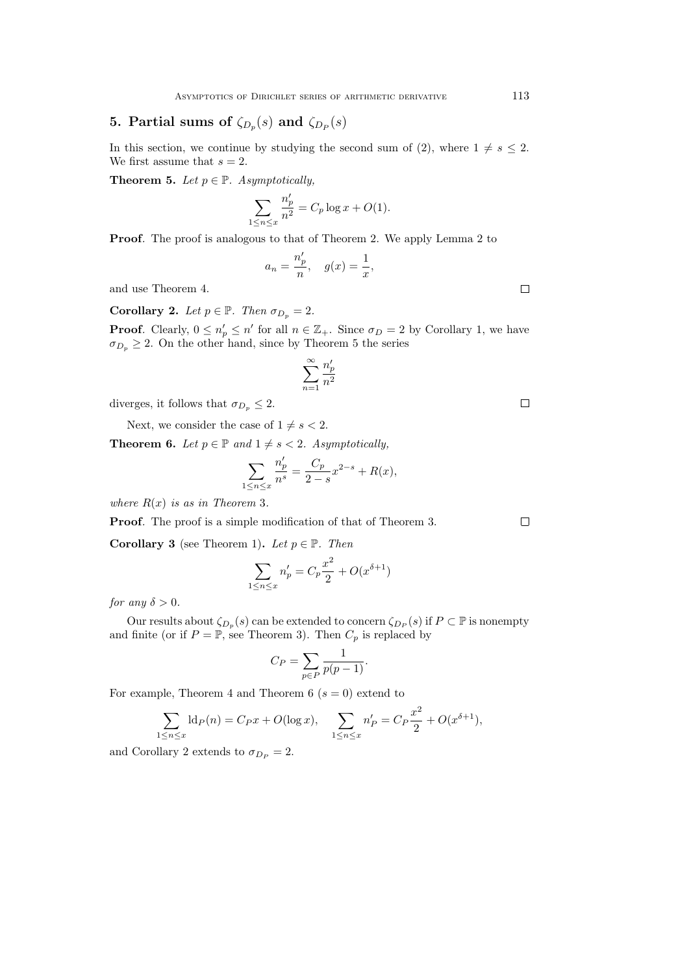# **5.** Partial sums of  $\zeta_{D_p}(s)$  and  $\zeta_{D_p}(s)$

In this section, we continue by studying the second sum of (2), where  $1 \neq s \leq 2$ . We first assume that  $s = 2$ .

**Theorem 5.** *Let*  $p \in \mathbb{P}$ *. Asymptotically,* 

$$
\sum_{1 \le n \le x} \frac{n'_p}{n^2} = C_p \log x + O(1).
$$

**Proof**. The proof is analogous to that of Theorem 2. We apply Lemma 2 to

$$
a_n = \frac{n'_p}{n}, \quad g(x) = \frac{1}{x},
$$

and use Theorem 4.

**Corollary 2.** *Let*  $p \in \mathbb{P}$ *. Then*  $\sigma_{D_p} = 2$ *.* 

**Proof**. Clearly,  $0 \leq n'_p \leq n'$  for all  $n \in \mathbb{Z}_+$ . Since  $\sigma_D = 2$  by Corollary 1, we have  $\sigma_{D_p} \geq 2$ . On the other hand, since by Theorem 5 the series

$$
\sum_{n=1}^{\infty} \frac{n'_p}{n^2}
$$

diverges, it follows that  $\sigma_{D_p} \leq 2$ .

Next, we consider the case of  $1 \neq s < 2$ .

**Theorem 6.** *Let*  $p \in \mathbb{P}$  *and*  $1 \neq s < 2$ *. Asymptotically,* 

$$
\sum_{1 \le n \le x} \frac{n'_p}{n^s} = \frac{C_p}{2 - s} x^{2 - s} + R(x),
$$

*where*  $R(x)$  *is as in Theorem* 3*.* 

**Proof***.* The proof is a simple modification of that of Theorem 3.

**Corollary 3** (see Theorem 1). Let  $p \in \mathbb{P}$ . Then

$$
\sum_{1 \le n \le x} n'_p = C_p \frac{x^2}{2} + O(x^{\delta+1})
$$

*for any*  $\delta > 0$ *.* 

Our results about  $\zeta_{D_p}(s)$  can be extended to concern  $\zeta_{D_p}(s)$  if  $P \subset \mathbb{P}$  is nonempty and finite (or if  $P = \mathbb{P}$ , see Theorem 3). Then  $C_p$  is replaced by

$$
C_P = \sum_{p \in P} \frac{1}{p(p-1)}.
$$

For example, Theorem 4 and Theorem 6 ( $s = 0$ ) extend to

$$
\sum_{1 \le n \le x} \mathrm{ld}_P(n) = C_P x + O(\log x), \quad \sum_{1 \le n \le x} n'_P = C_P \frac{x^2}{2} + O(x^{\delta+1}),
$$

and Corollary 2 extends to  $\sigma_{D_P} = 2$ .

 $\Box$ 

 $\Box$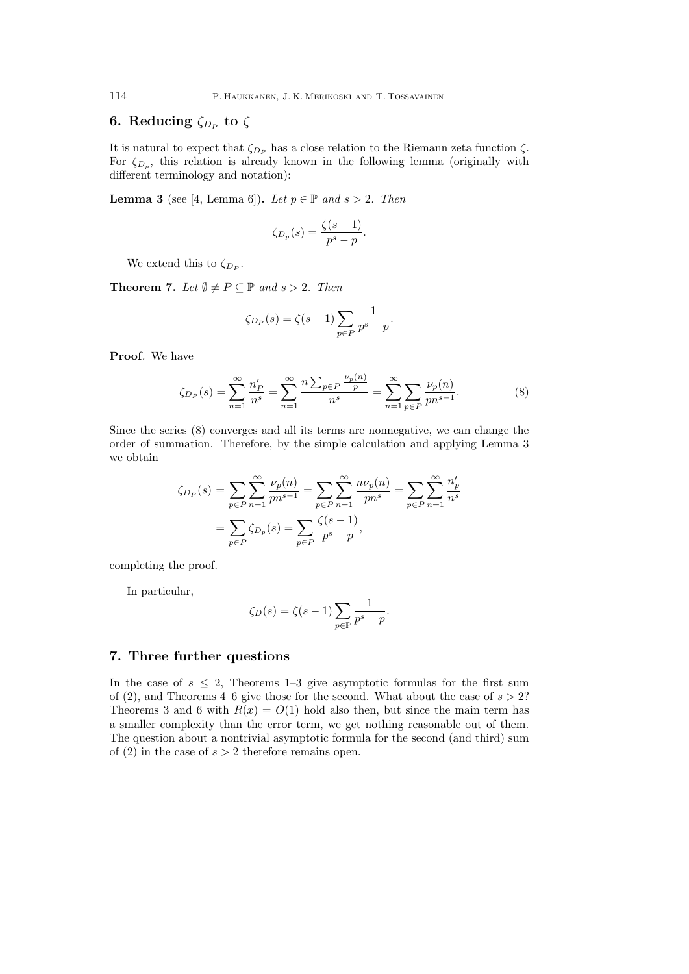# **6.** Reducing  $\zeta_{D_P}$  to  $\zeta$

It is natural to expect that  $\zeta_{D_P}$  has a close relation to the Riemann zeta function  $\zeta$ . For  $\zeta_{D_p}$ , this relation is already known in the following lemma (originally with different terminology and notation):

**Lemma 3** (see [4, Lemma 6]). *Let*  $p \in \mathbb{P}$  *and*  $s > 2$ *. Then* 

$$
\zeta_{D_p}(s) = \frac{\zeta(s-1)}{p^s - p}.
$$

We extend this to  $\zeta_{D_P}$ .

**Theorem 7.** *Let*  $\emptyset \neq P \subseteq \mathbb{P}$  *and*  $s > 2$ *. Then* 

$$
\zeta_{D_P}(s) = \zeta(s-1) \sum_{p \in P} \frac{1}{p^s - p}.
$$

**Proof***.* We have

$$
\zeta_{D_P}(s) = \sum_{n=1}^{\infty} \frac{n'_P}{n^s} = \sum_{n=1}^{\infty} \frac{n \sum_{p \in P} \frac{\nu_p(n)}{p}}{n^s} = \sum_{n=1}^{\infty} \sum_{p \in P} \frac{\nu_p(n)}{pn^{s-1}}.
$$
 (8)

Since the series (8) converges and all its terms are nonnegative, we can change the order of summation. Therefore, by the simple calculation and applying Lemma 3 we obtain

$$
\zeta_{D_P}(s) = \sum_{p \in P} \sum_{n=1}^{\infty} \frac{\nu_p(n)}{pn^{s-1}} = \sum_{p \in P} \sum_{n=1}^{\infty} \frac{np_p(n)}{pn^s} = \sum_{p \in P} \sum_{n=1}^{\infty} \frac{n'_p}{n^s}
$$

$$
= \sum_{p \in P} \zeta_{D_p}(s) = \sum_{p \in P} \frac{\zeta(s-1)}{p^s - p},
$$

completing the proof.

In particular,

$$
\zeta_D(s) = \zeta(s-1) \sum_{p \in \mathbb{P}} \frac{1}{p^s - p}.
$$

#### **7. Three further questions**

In the case of  $s \leq 2$ , Theorems 1–3 give asymptotic formulas for the first sum of  $(2)$ , and Theorems 4–6 give those for the second. What about the case of  $s > 2$ ? Theorems 3 and 6 with  $R(x) = O(1)$  hold also then, but since the main term has a smaller complexity than the error term, we get nothing reasonable out of them. The question about a nontrivial asymptotic formula for the second (and third) sum of  $(2)$  in the case of  $s > 2$  therefore remains open.